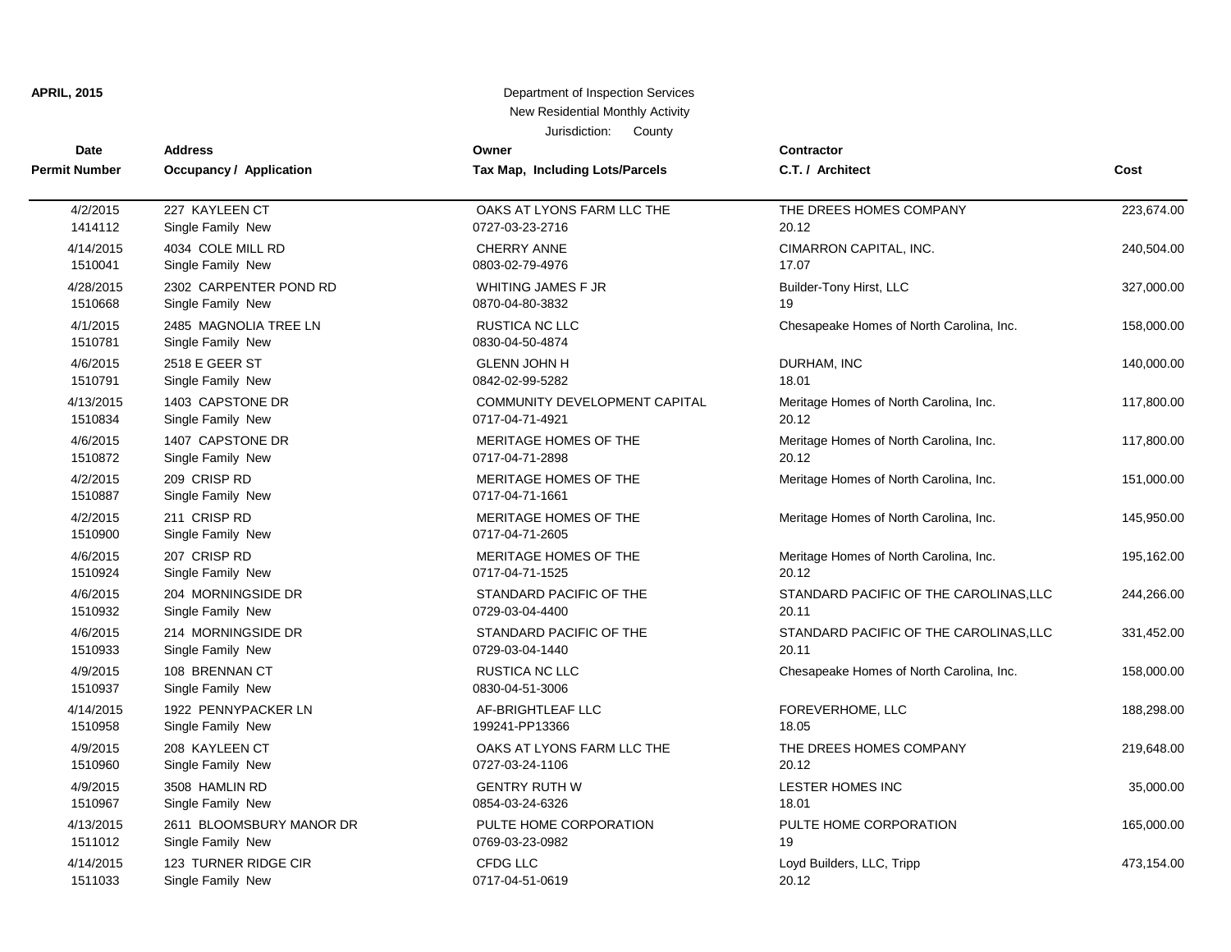## **APRIL, 2015 Department of Inspection Services** New Residential Monthly Activity

Jurisdiction: County

| Date                 | <b>Address</b>                             | Owner                                    | Contractor                               |            |
|----------------------|--------------------------------------------|------------------------------------------|------------------------------------------|------------|
| <b>Permit Number</b> | <b>Occupancy / Application</b>             | Tax Map, Including Lots/Parcels          | C.T. / Architect                         | Cost       |
| 4/2/2015             | 227 KAYLEEN CT                             | OAKS AT LYONS FARM LLC THE               | THE DREES HOMES COMPANY                  | 223,674.00 |
| 1414112              | Single Family New                          | 0727-03-23-2716                          | 20.12                                    |            |
| 4/14/2015            | 4034 COLE MILL RD                          | <b>CHERRY ANNE</b>                       | CIMARRON CAPITAL, INC.                   | 240,504.00 |
| 1510041              | Single Family New                          | 0803-02-79-4976                          | 17.07                                    |            |
| 4/28/2015            | 2302 CARPENTER POND RD                     | <b>WHITING JAMES F JR</b>                | Builder-Tony Hirst, LLC                  | 327,000.00 |
| 1510668              | Single Family New                          | 0870-04-80-3832                          | 19                                       |            |
| 4/1/2015<br>1510781  | 2485 MAGNOLIA TREE LN<br>Single Family New | RUSTICA NC LLC<br>0830-04-50-4874        | Chesapeake Homes of North Carolina, Inc. | 158,000.00 |
| 4/6/2015             | 2518 E GEER ST                             | <b>GLENN JOHN H</b>                      | DURHAM, INC                              | 140,000.00 |
| 1510791              | Single Family New                          | 0842-02-99-5282                          | 18.01                                    |            |
| 4/13/2015            | 1403 CAPSTONE DR                           | COMMUNITY DEVELOPMENT CAPITAL            | Meritage Homes of North Carolina, Inc.   | 117,800.00 |
| 1510834              | Single Family New                          | 0717-04-71-4921                          | 20.12                                    |            |
| 4/6/2015             | 1407 CAPSTONE DR                           | MERITAGE HOMES OF THE                    | Meritage Homes of North Carolina, Inc.   | 117,800.00 |
| 1510872              | Single Family New                          | 0717-04-71-2898                          | 20.12                                    |            |
| 4/2/2015<br>1510887  | 209 CRISP RD<br>Single Family New          | MERITAGE HOMES OF THE<br>0717-04-71-1661 | Meritage Homes of North Carolina, Inc.   | 151,000.00 |
| 4/2/2015<br>1510900  | 211 CRISP RD<br>Single Family New          | MERITAGE HOMES OF THE<br>0717-04-71-2605 | Meritage Homes of North Carolina, Inc.   | 145,950.00 |
| 4/6/2015             | 207 CRISP RD                               | MERITAGE HOMES OF THE                    | Meritage Homes of North Carolina, Inc.   | 195,162.00 |
| 1510924              | Single Family New                          | 0717-04-71-1525                          | 20.12                                    |            |
| 4/6/2015             | 204 MORNINGSIDE DR                         | STANDARD PACIFIC OF THE                  | STANDARD PACIFIC OF THE CAROLINAS, LLC   | 244,266.00 |
| 1510932              | Single Family New                          | 0729-03-04-4400                          | 20.11                                    |            |
| 4/6/2015             | 214 MORNINGSIDE DR                         | STANDARD PACIFIC OF THE                  | STANDARD PACIFIC OF THE CAROLINAS, LLC   | 331,452.00 |
| 1510933              | Single Family New                          | 0729-03-04-1440                          | 20.11                                    |            |
| 4/9/2015<br>1510937  | 108 BRENNAN CT<br>Single Family New        | RUSTICA NC LLC<br>0830-04-51-3006        | Chesapeake Homes of North Carolina, Inc. | 158,000.00 |
| 4/14/2015            | 1922 PENNYPACKER LN                        | AF-BRIGHTLEAF LLC                        | FOREVERHOME, LLC                         | 188,298.00 |
| 1510958              | Single Family New                          | 199241-PP13366                           | 18.05                                    |            |
| 4/9/2015             | 208 KAYLEEN CT                             | OAKS AT LYONS FARM LLC THE               | THE DREES HOMES COMPANY                  | 219,648.00 |
| 1510960              | Single Family New                          | 0727-03-24-1106                          | 20.12                                    |            |
| 4/9/2015             | 3508 HAMLIN RD                             | <b>GENTRY RUTH W</b>                     | LESTER HOMES INC                         | 35,000.00  |
| 1510967              | Single Family New                          | 0854-03-24-6326                          | 18.01                                    |            |
| 4/13/2015            | 2611 BLOOMSBURY MANOR DR                   | PULTE HOME CORPORATION                   | PULTE HOME CORPORATION                   | 165,000.00 |
| 1511012              | Single Family New                          | 0769-03-23-0982                          | 19                                       |            |
| 4/14/2015            | 123 TURNER RIDGE CIR                       | CFDG LLC                                 | Loyd Builders, LLC, Tripp                | 473,154.00 |
| 1511033              | Single Family New                          | 0717-04-51-0619                          | 20.12                                    |            |